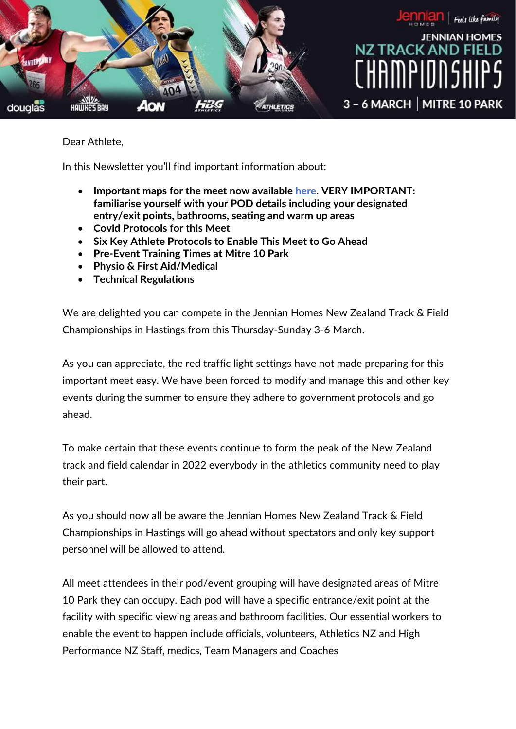

Dear Athlete,

In this Newsletter you'll find important information about:

- **Important maps for the meet now available [here.](https://athletics.org.nz/competition/events/) VERY IMPORTANT: familiarise yourself with your POD details including your designated entry/exit points, bathrooms, seating and warm up areas**
- **Covid Protocols for this Meet**
- **Six Key Athlete Protocols to Enable This Meet to Go Ahead**
- **Pre-Event Training Times at Mitre 10 Park**
- **Physio & First Aid/Medical**
- **Technical Regulations**

We are delighted you can compete in the Jennian Homes New Zealand Track & Field Championships in Hastings from this Thursday-Sunday 3-6 March.

As you can appreciate, the red traffic light settings have not made preparing for this important meet easy. We have been forced to modify and manage this and other key events during the summer to ensure they adhere to government protocols and go ahead.

To make certain that these events continue to form the peak of the New Zealand track and field calendar in 2022 everybody in the athletics community need to play their part.

As you should now all be aware the Jennian Homes New Zealand Track & Field Championships in Hastings will go ahead without spectators and only key support personnel will be allowed to attend.

All meet attendees in their pod/event grouping will have designated areas of Mitre 10 Park they can occupy. Each pod will have a specific entrance/exit point at the facility with specific viewing areas and bathroom facilities. Our essential workers to enable the event to happen include officials, volunteers, Athletics NZ and High Performance NZ Staff, medics, Team Managers and Coaches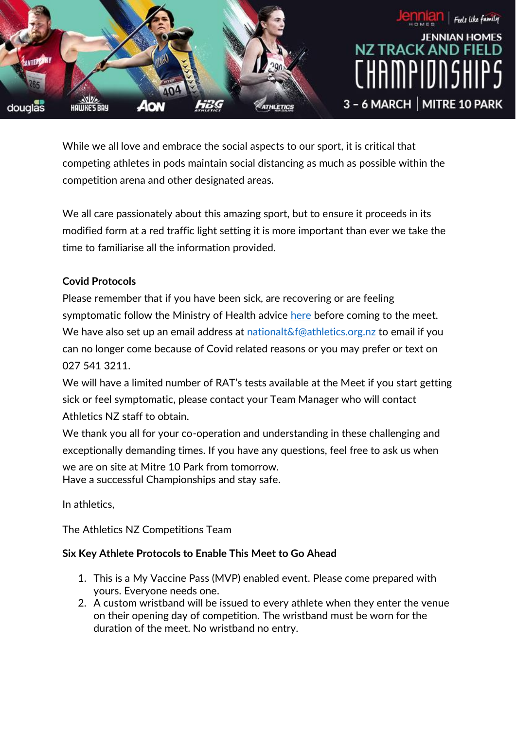

While we all love and embrace the social aspects to our sport, it is critical that competing athletes in pods maintain social distancing as much as possible within the competition arena and other designated areas.

We all care passionately about this amazing sport, but to ensure it proceeds in its modified form at a red traffic light setting it is more important than ever we take the time to familiarise all the information provided.

# **Covid Protocols**

Please remember that if you have been sick, are recovering or are feeling symptomatic follow the Ministry of Health advice [here](https://covid19.govt.nz/?gclid=CjwKCAiAgvKQBhBbEiwAaPQw3OZMv5Yq6T-4gLpzA_VV-F3Kkfk5Ns2VdCii1YY8gpG4OcWb_xGx5BoCuAMQAvD_BwE) before coming to the meet. We have also set up an email address at [nationalt&f@athletics.org.nz](mailto:nationalt&f@athletics.org.nz) to email if you can no longer come because of Covid related reasons or you may prefer or text on 027 541 3211.

We will have a limited number of RAT's tests available at the Meet if you start getting sick or feel symptomatic, please contact your Team Manager who will contact Athletics NZ staff to obtain.

We thank you all for your co-operation and understanding in these challenging and exceptionally demanding times. If you have any questions, feel free to ask us when we are on site at Mitre 10 Park from tomorrow. Have a successful Championships and stay safe.

In athletics,

The Athletics NZ Competitions Team

# **Six Key Athlete Protocols to Enable This Meet to Go Ahead**

- 1. This is a My Vaccine Pass (MVP) enabled event. Please come prepared with yours. Everyone needs one.
- 2. A custom wristband will be issued to every athlete when they enter the venue on their opening day of competition. The wristband must be worn for the duration of the meet. No wristband no entry.